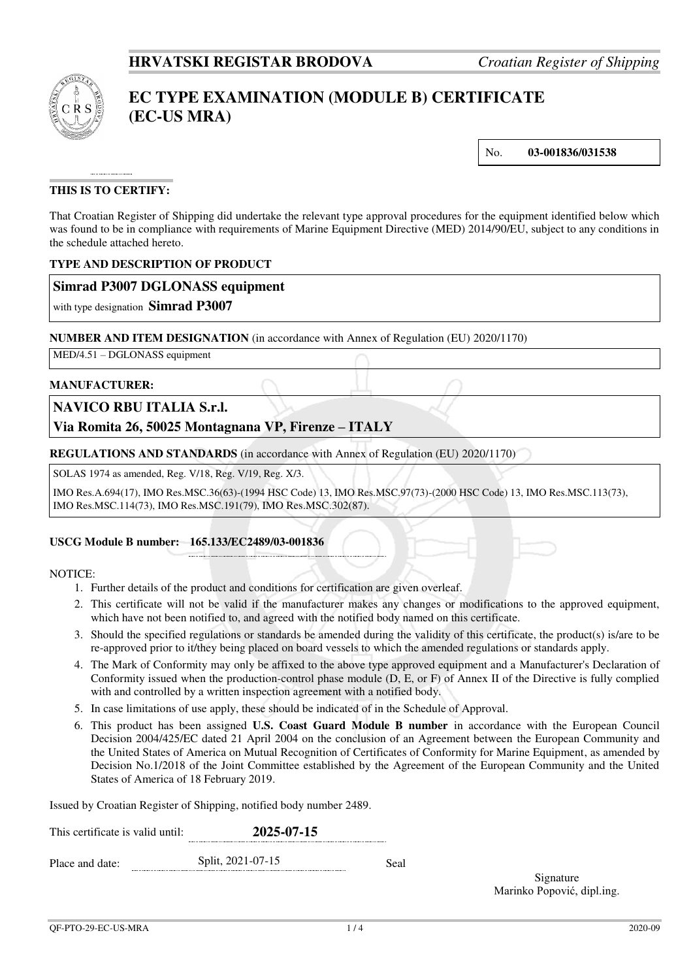

# **EC TYPE EXAMINATION (MODULE B) CERTIFICATE (EC-US MRA)**

No. **03-001836/031538**

## **THIS IS TO CERTIFY:**

That Croatian Register of Shipping did undertake the relevant type approval procedures for the equipment identified below which was found to be in compliance with requirements of Marine Equipment Directive (MED) 2014/90/EU, subject to any conditions in the schedule attached hereto.

#### **TYPE AND DESCRIPTION OF PRODUCT**

## **Simrad P3007 DGLONASS equipment**

with type designation **Simrad P3007**

#### **NUMBER AND ITEM DESIGNATION** (in accordance with Annex of Regulation (EU) 2020/1170)

MED/4.51 – DGLONASS equipment

#### **MANUFACTURER:**

## **NAVICO RBU ITALIA S.r.l.**

## **Via Romita 26, 50025 Montagnana VP, Firenze – ITALY**

**REGULATIONS AND STANDARDS** (in accordance with Annex of Regulation (EU) 2020/1170)

SOLAS 1974 as amended, Reg. V/18, Reg. V/19, Reg. X/3.

IMO Res.A.694(17), IMO Res.MSC.36(63)-(1994 HSC Code) 13, IMO Res.MSC.97(73)-(2000 HSC Code) 13, IMO Res.MSC.113(73), IMO Res.MSC.114(73), IMO Res.MSC.191(79), IMO Res.MSC.302(87).

#### **USCG Module B number: 165.133/EC2489/03-001836**

#### NOTICE:

- 1. Further details of the product and conditions for certification are given overleaf.
- 2. This certificate will not be valid if the manufacturer makes any changes or modifications to the approved equipment, which have not been notified to, and agreed with the notified body named on this certificate.
- 3. Should the specified regulations or standards be amended during the validity of this certificate, the product(s) is/are to be re-approved prior to it/they being placed on board vessels to which the amended regulations or standards apply.
- 4. The Mark of Conformity may only be affixed to the above type approved equipment and a Manufacturer's Declaration of Conformity issued when the production-control phase module (D, E, or F) of Annex II of the Directive is fully complied with and controlled by a written inspection agreement with a notified body.
- 5. In case limitations of use apply, these should be indicated of in the Schedule of Approval.
- 6. This product has been assigned **U.S. Coast Guard Module B number** in accordance with the European Council Decision 2004/425/EC dated 21 April 2004 on the conclusion of an Agreement between the European Community and the United States of America on Mutual Recognition of Certificates of Conformity for Marine Equipment, as amended by Decision No.1/2018 of the Joint Committee established by the Agreement of the European Community and the United States of America of 18 February 2019.

Issued by Croatian Register of Shipping, notified body number 2489.

| This certificate is valid until: | 2025-07-15        |      |  |  |
|----------------------------------|-------------------|------|--|--|
| Place and date:                  | Split, 2021-07-15 | Seal |  |  |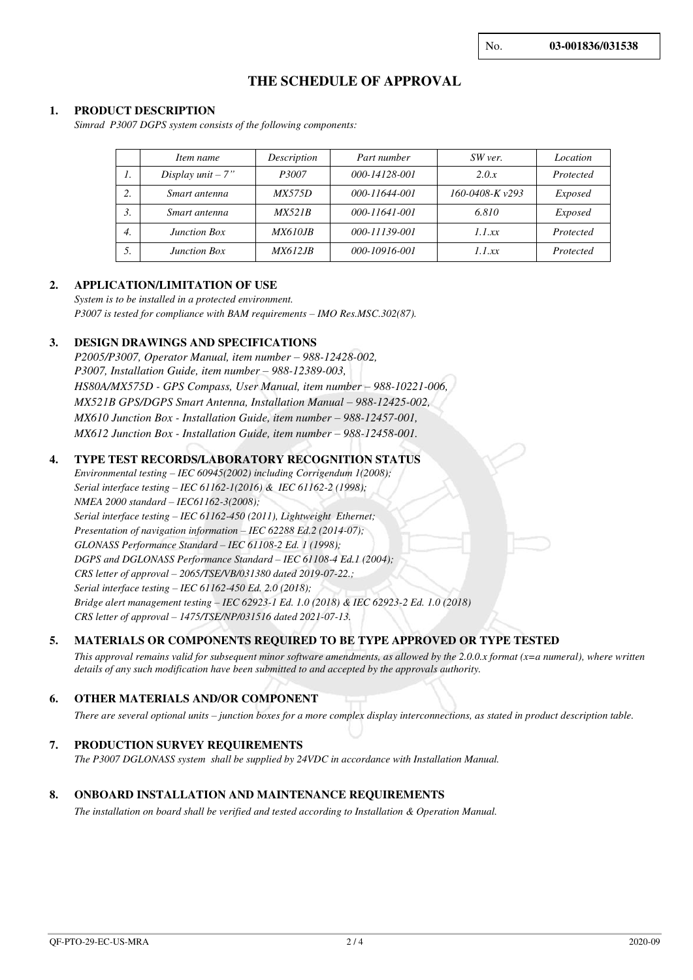No. **03-001836/031538**

## **THE SCHEDULE OF APPROVAL**

#### **1. PRODUCT DESCRIPTION**

*Simrad P3007 DGPS system consists of the following components:* 

|                  | Item name           | Description     | Part number   | SW ver.              | Location  |
|------------------|---------------------|-----------------|---------------|----------------------|-----------|
| $\prime$ .       | Display $unit - 7"$ | P3007           | 000-14128-001 | 2.0.x                | Protected |
| 2.               | Smart antenna       | <i>MX575D</i>   | 000-11644-001 | $160 - 0408 - Kv293$ | Exposed   |
| 3.               | Smart antenna       | MX521B          | 000-11641-001 | 6.810                | Exposed   |
| $\overline{4}$ . | <b>Junction Box</b> | <i>MX610JB</i>  | 000-11139-001 | 1.1xx                | Protected |
| 5.               | <b>Junction Box</b> | <i>MX612.IB</i> | 000-10916-001 | 1.1xx                | Protected |

#### **2. APPLICATION/LIMITATION OF USE**

*System is to be installed in a protected environment. P3007 is tested for compliance with BAM requirements – IMO Res.MSC.302(87).*

#### **3. DESIGN DRAWINGS AND SPECIFICATIONS**

*P2005/P3007, Operator Manual, item number – 988-12428-002, P3007, Installation Guide, item number – 988-12389-003, HS80A/MX575D - GPS Compass, User Manual, item number – 988-10221-006, MX521B GPS/DGPS Smart Antenna, Installation Manual – 988-12425-002, MX610 Junction Box - Installation Guide, item number – 988-12457-001. MX612 Junction Box - Installation Guide, item number – 988-12458-001.* 

#### **4. TYPE TEST RECORDS/LABORATORY RECOGNITION STATUS**

*Environmental testing – IEC 60945(2002) including Corrigendum 1(2008); Serial interface testing – IEC 61162-1(2016) & IEC 61162-2 (1998); NMEA 2000 standard – IEC61162-3(2008); Serial interface testing – IEC 61162-450 (2011), Lightweight Ethernet; Presentation of navigation information – IEC 62288 Ed.2 (2014-07); GLONASS Performance Standard – IEC 61108-2 Ed. 1 (1998); DGPS and DGLONASS Performance Standard – IEC 61108-4 Ed.1 (2004); CRS letter of approval – 2065/TSE/VB/031380 dated 2019-07-22.; Serial interface testing – IEC 61162-450 Ed. 2.0 (2018); Bridge alert management testing – IEC 62923-1 Ed. 1.0 (2018) & IEC 62923-2 Ed. 1.0 (2018) CRS letter of approval – 1475/TSE/NP/031516 dated 2021-07-13.*

#### **5. MATERIALS OR COMPONENTS REQUIRED TO BE TYPE APPROVED OR TYPE TESTED**

*This approval remains valid for subsequent minor software amendments, as allowed by the 2.0.0.x format (x=a numeral), where written details of any such modification have been submitted to and accepted by the approvals authority.*

#### **6. OTHER MATERIALS AND/OR COMPONENT**

*There are several optional units – junction boxes for a more complex display interconnections, as stated in product description table.*

#### **7. PRODUCTION SURVEY REQUIREMENTS**

*The P3007 DGLONASS system shall be supplied by 24VDC in accordance with Installation Manual.* 

#### **8. ONBOARD INSTALLATION AND MAINTENANCE REQUIREMENTS**

*The installation on board shall be verified and tested according to Installation & Operation Manual.*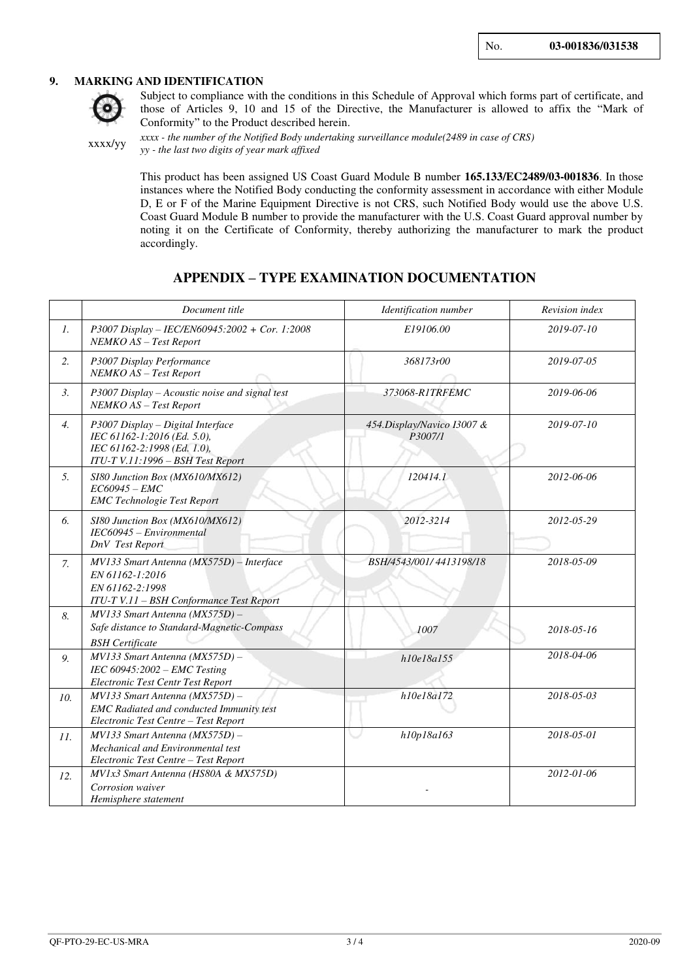#### **9. MARKING AND IDENTIFICATION**



Subject to compliance with the conditions in this Schedule of Approval which forms part of certificate, and those of Articles 9, 10 and 15 of the Directive, the Manufacturer is allowed to affix the "Mark of Conformity" to the Product described herein.

xxxx/yy

*xxxx - the number of the Notified Body undertaking surveillance module(2489 in case of CRS) yy - the last two digits of year mark affixed*

This product has been assigned US Coast Guard Module B number **165.133/EC2489/03-001836**. In those instances where the Notified Body conducting the conformity assessment in accordance with either Module D, E or F of the Marine Equipment Directive is not CRS, such Notified Body would use the above U.S. Coast Guard Module B number to provide the manufacturer with the U.S. Coast Guard approval number by noting it on the Certificate of Conformity, thereby authorizing the manufacturer to mark the product accordingly.

## **APPENDIX – TYPE EXAMINATION DOCUMENTATION**

|                  | Document title                                                                                                                       | Identification number                 | Revision index |
|------------------|--------------------------------------------------------------------------------------------------------------------------------------|---------------------------------------|----------------|
| 1.               | P3007 Display - IEC/EN60945:2002 + Cor. 1:2008<br>NEMKO AS - Test Report                                                             | E19106.00                             | 2019-07-10     |
| 2.               | P3007 Display Performance<br>NEMKO AS - Test Report                                                                                  | 368173r00                             | 2019-07-05     |
| 3.               | P3007 Display - Acoustic noise and signal test<br>NEMKO AS - Test Report                                                             | 373068-R1TRFEMC                       | 2019-06-06     |
| $\overline{4}$ . | P3007 Display - Digital Interface<br>IEC 61162-1:2016 (Ed. 5.0),<br>IEC 61162-2:1998 (Ed. 1.0),<br>ITU-T V.11:1996 - BSH Test Report | 454.Display/Navico I3007 &<br>P3007/1 | 2019-07-10     |
| 5.               | SI80 Junction Box (MX610/MX612)<br>$EC60945 - EMC$<br><b>EMC</b> Technologie Test Report                                             | 120414.1                              | 2012-06-06     |
| 6.               | SI80 Junction Box (MX610/MX612)<br>IEC60945 - Environmental<br>DnV Test Report                                                       | 2012-3214                             | 2012-05-29     |
| 7.               | MV133 Smart Antenna (MX575D) - Interface<br>EN 61162-1:2016<br>EN 61162-2:1998<br>ITU-T V.11 - BSH Conformance Test Report           | BSH/4543/001/4413198/18               | 2018-05-09     |
| 8.               | MV133 Smart Antenna (MX575D) -<br>Safe distance to Standard-Magnetic-Compass<br><b>BSH</b> Certificate                               | 1007                                  | 2018-05-16     |
| 9.               | MV133 Smart Antenna (MX575D) -<br>IEC $60945:2002$ – EMC Testing<br>Electronic Test Centr Test Report                                | h10e18a155                            | 2018-04-06     |
| 10.              | MV133 Smart Antenna (MX575D) -<br><b>EMC</b> Radiated and conducted Immunity test<br>Electronic Test Centre - Test Report            | h10e18a172                            | 2018-05-03     |
| II.              | $MV133$ Smart Antenna ( $MX575D$ ) -<br>Mechanical and Environmental test<br>Electronic Test Centre - Test Report                    | h10p18a163                            | 2018-05-01     |
| 12.              | MV1x3 Smart Antenna (HS80A & MX575D)<br>Corrosion waiver<br>Hemisphere statement                                                     |                                       | 2012-01-06     |